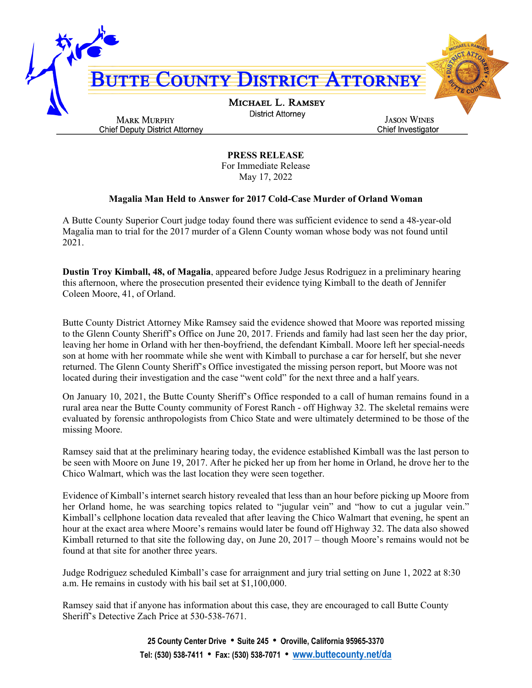

**PRESS RELEASE** For Immediate Release May 17, 2022

## **Magalia Man Held to Answer for 2017 Cold-Case Murder of Orland Woman**

A Butte County Superior Court judge today found there was sufficient evidence to send a 48-year-old Magalia man to trial for the 2017 murder of a Glenn County woman whose body was not found until 2021.

**Dustin Troy Kimball, 48, of Magalia**, appeared before Judge Jesus Rodriguez in a preliminary hearing this afternoon, where the prosecution presented their evidence tying Kimball to the death of Jennifer Coleen Moore, 41, of Orland.

Butte County District Attorney Mike Ramsey said the evidence showed that Moore was reported missing to the Glenn County Sheriff's Office on June 20, 2017. Friends and family had last seen her the day prior, leaving her home in Orland with her then-boyfriend, the defendant Kimball. Moore left her special-needs son at home with her roommate while she went with Kimball to purchase a car for herself, but she never returned. The Glenn County Sheriff's Office investigated the missing person report, but Moore was not located during their investigation and the case "went cold" for the next three and a half years.

On January 10, 2021, the Butte County Sheriff's Office responded to a call of human remains found in a rural area near the Butte County community of Forest Ranch - off Highway 32. The skeletal remains were evaluated by forensic anthropologists from Chico State and were ultimately determined to be those of the missing Moore.

Ramsey said that at the preliminary hearing today, the evidence established Kimball was the last person to be seen with Moore on June 19, 2017. After he picked her up from her home in Orland, he drove her to the Chico Walmart, which was the last location they were seen together.

Evidence of Kimball's internet search history revealed that less than an hour before picking up Moore from her Orland home, he was searching topics related to "jugular vein" and "how to cut a jugular vein." Kimball's cellphone location data revealed that after leaving the Chico Walmart that evening, he spent an hour at the exact area where Moore's remains would later be found off Highway 32. The data also showed Kimball returned to that site the following day, on June 20, 2017 – though Moore's remains would not be found at that site for another three years.

Judge Rodriguez scheduled Kimball's case for arraignment and jury trial setting on June 1, 2022 at 8:30 a.m. He remains in custody with his bail set at \$1,100,000.

Ramsey said that if anyone has information about this case, they are encouraged to call Butte County Sheriff's Detective Zach Price at 530-538-7671.

> **25 County Center Drive** • **Suite 245** • **Oroville, California 95965-3370 Tel: (530) 538-7411** • **Fax: (530) 538-7071** • **[www.buttecounty.net/da](http://www.buttecounty.net/da)**